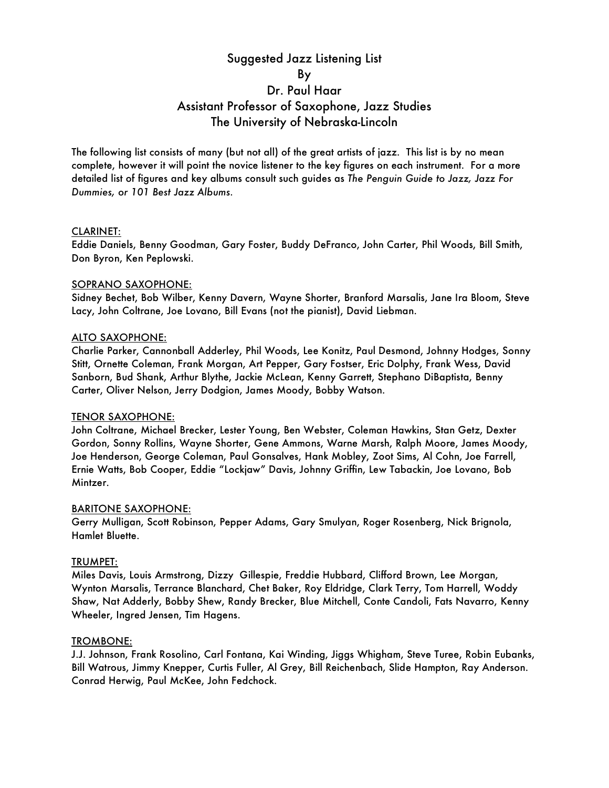# Suggested Jazz Listening List By Dr. Paul Haar Assistant Professor of Saxophone, Jazz Studies The University of Nebraska-Lincoln

The following list consists of many (but not all) of the great artists of jazz. This list is by no mean complete, however it will point the novice listener to the key figures on each instrument. For a more detailed list of figures and key albums consult such guides as *The Penguin Guide to Jazz, Jazz For Dummies, or 101 Best Jazz Albums.*

### CLARINET:

Eddie Daniels, Benny Goodman, Gary Foster, Buddy DeFranco, John Carter, Phil Woods, Bill Smith, Don Byron, Ken Peplowski.

### SOPRANO SAXOPHONE:

Sidney Bechet, Bob Wilber, Kenny Davern, Wayne Shorter, Branford Marsalis, Jane Ira Bloom, Steve Lacy, John Coltrane, Joe Lovano, Bill Evans (not the pianist), David Liebman.

### ALTO SAXOPHONE:

Charlie Parker, Cannonball Adderley, Phil Woods, Lee Konitz, Paul Desmond, Johnny Hodges, Sonny Stitt, Ornette Coleman, Frank Morgan, Art Pepper, Gary Fostser, Eric Dolphy, Frank Wess, David Sanborn, Bud Shank, Arthur Blythe, Jackie McLean, Kenny Garrett, Stephano DiBaptista, Benny Carter, Oliver Nelson, Jerry Dodgion, James Moody, Bobby Watson.

### TENOR SAXOPHONE:

John Coltrane, Michael Brecker, Lester Young, Ben Webster, Coleman Hawkins, Stan Getz, Dexter Gordon, Sonny Rollins, Wayne Shorter, Gene Ammons, Warne Marsh, Ralph Moore, James Moody, Joe Henderson, George Coleman, Paul Gonsalves, Hank Mobley, Zoot Sims, Al Cohn, Joe Farrell, Ernie Watts, Bob Cooper, Eddie "Lockjaw" Davis, Johnny Griffin, Lew Tabackin, Joe Lovano, Bob Mintzer.

### BARITONE SAXOPHONE:

Gerry Mulligan, Scott Robinson, Pepper Adams, Gary Smulyan, Roger Rosenberg, Nick Brignola, Hamlet Bluette.

### TRUMPET:

Miles Davis, Louis Armstrong, Dizzy Gillespie, Freddie Hubbard, Clifford Brown, Lee Morgan, Wynton Marsalis, Terrance Blanchard, Chet Baker, Roy Eldridge, Clark Terry, Tom Harrell, Woddy Shaw, Nat Adderly, Bobby Shew, Randy Brecker, Blue Mitchell, Conte Candoli, Fats Navarro, Kenny Wheeler, Ingred Jensen, Tim Hagens.

### TROMBONE:

J.J. Johnson, Frank Rosolino, Carl Fontana, Kai Winding, Jiggs Whigham, Steve Turee, Robin Eubanks, Bill Watrous, Jimmy Knepper, Curtis Fuller, Al Grey, Bill Reichenbach, Slide Hampton, Ray Anderson. Conrad Herwig, Paul McKee, John Fedchock.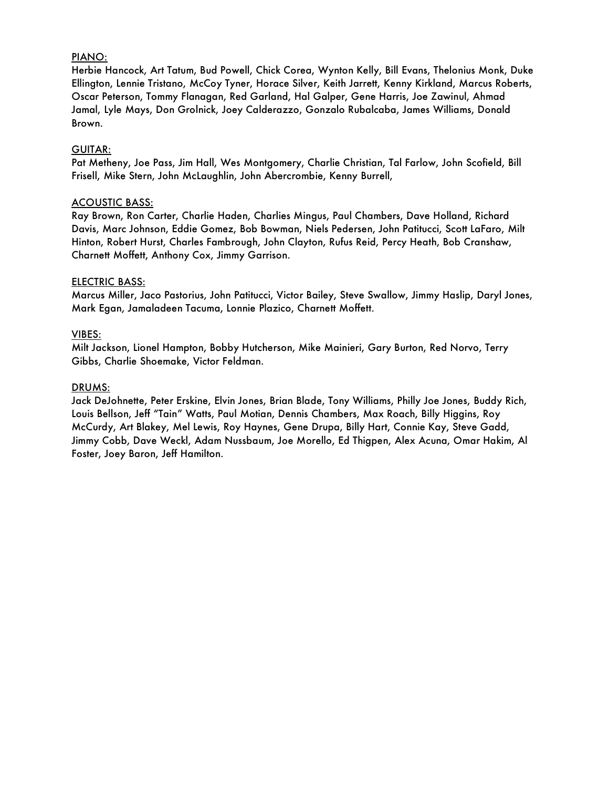## PIANO:

Herbie Hancock, Art Tatum, Bud Powell, Chick Corea, Wynton Kelly, Bill Evans, Thelonius Monk, Duke Ellington, Lennie Tristano, McCoy Tyner, Horace Silver, Keith Jarrett, Kenny Kirkland, Marcus Roberts, Oscar Peterson, Tommy Flanagan, Red Garland, Hal Galper, Gene Harris, Joe Zawinul, Ahmad Jamal, Lyle Mays, Don Grolnick, Joey Calderazzo, Gonzalo Rubalcaba, James Williams, Donald Brown.

### GUITAR:

Pat Metheny, Joe Pass, Jim Hall, Wes Montgomery, Charlie Christian, Tal Farlow, John Scofield, Bill Frisell, Mike Stern, John McLaughlin, John Abercrombie, Kenny Burrell,

### ACOUSTIC BASS:

Ray Brown, Ron Carter, Charlie Haden, Charlies Mingus, Paul Chambers, Dave Holland, Richard Davis, Marc Johnson, Eddie Gomez, Bob Bowman, Niels Pedersen, John Patitucci, Scott LaFaro, Milt Hinton, Robert Hurst, Charles Fambrough, John Clayton, Rufus Reid, Percy Heath, Bob Cranshaw, Charnett Moffett, Anthony Cox, Jimmy Garrison.

## ELECTRIC BASS:

Marcus Miller, Jaco Pastorius, John Patitucci, Victor Bailey, Steve Swallow, Jimmy Haslip, Daryl Jones, Mark Egan, Jamaladeen Tacuma, Lonnie Plazico, Charnett Moffett.

## VIBES:

Milt Jackson, Lionel Hampton, Bobby Hutcherson, Mike Mainieri, Gary Burton, Red Norvo, Terry Gibbs, Charlie Shoemake, Victor Feldman.

### DRUMS:

Jack DeJohnette, Peter Erskine, Elvin Jones, Brian Blade, Tony Williams, Philly Joe Jones, Buddy Rich, Louis Bellson, Jeff "Tain" Watts, Paul Motian, Dennis Chambers, Max Roach, Billy Higgins, Roy McCurdy, Art Blakey, Mel Lewis, Roy Haynes, Gene Drupa, Billy Hart, Connie Kay, Steve Gadd, Jimmy Cobb, Dave Weckl, Adam Nussbaum, Joe Morello, Ed Thigpen, Alex Acuna, Omar Hakim, Al Foster, Joey Baron, Jeff Hamilton.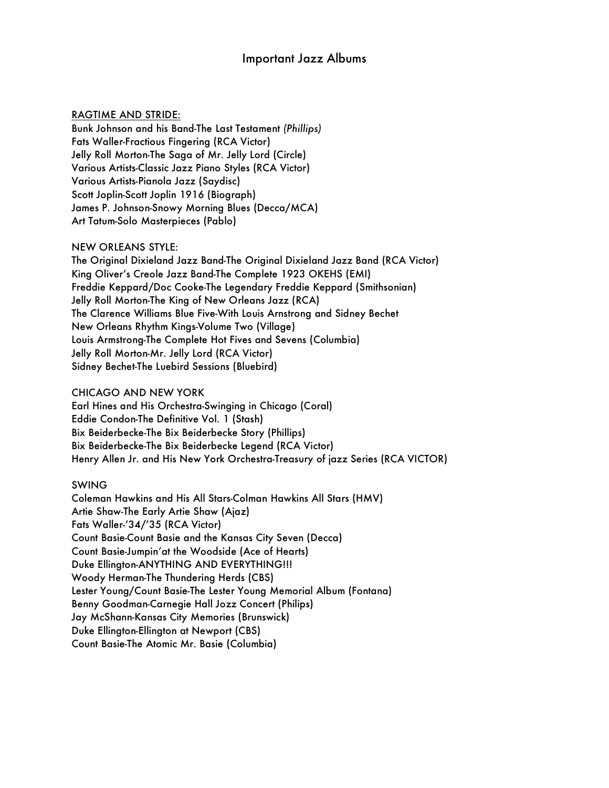# Important Jazz Albums

### RAGTIME AND STRIDE:

Bunk Johnson and his Band-The Last Testament *(Phillips)* Fats Waller-Fractious Fingering (RCA Victor) Jelly Roll Morton-The Saga of Mr. Jelly Lord (Circle) Various Artists-Classic Jazz Piano Styles (RCA Victor) Various Artists-Pianola Jazz (Saydisc) Scott Joplin-Scott Joplin 1916 (Biograph) James P. Johnson-Snowy Morning Blues (Decca/MCA) Art Tatum-Solo Masterpieces (Pablo)

### NEW ORLEANS STYLE:

The Original Dixieland Jazz Band-The Original Dixieland Jazz Band (RCA Victor) King Oliver's Creole Jazz Band-The Complete 1923 OKEHS (EMI) Freddie Keppard/Doc Cooke-The Legendary Freddie Keppard (Smithsonian) Jelly Roll Morton-The King of New Orleans Jazz (RCA) The Clarence Williams Blue Five-With Louis Arnstrong and Sidney Bechet New Orleans Rhythm Kings-Volume Two (Village) Louis Armstrong-The Complete Hot Fives and Sevens (Columbia) Jelly Roll Morton-Mr. Jelly Lord (RCA Victor) Sidney Bechet-The Luebird Sessions (Bluebird)

### CHICAGO AND NEW YORK

Earl Hines and His Orchestra-Swinging in Chicago (Coral) Eddie Condon-The Definitive Vol. 1 (Stash) Bix Beiderbecke-The Bix Beiderbecke Story (Phillips) Bix Beiderbecke-The Bix Beiderbecke Legend (RCA Victor) Henry Allen Jr. and His New York Orchestra-Treasury of jazz Series (RCA VICTOR)

### SWING

Coleman Hawkins and His All Stars-Colman Hawkins All Stars (HMV) Artie Shaw-The Early Artie Shaw (Ajaz) Fats Waller-'34/'35 (RCA Victor) Count Basie-Count Basie and the Kansas City Seven (Decca) Count Basie-Jumpin'at the Woodside (Ace of Hearts) Duke Ellington-ANYTHING AND EVERYTHING!!! Woody Herman-The Thundering Herds (CBS) Lester Young/Count Basie-The Lester Young Memorial Album (Fontana) Benny Goodman-Carnegie Hall Jozz Concert (Philips) Jay McShann-Kansas City Memories (Brunswick) Duke Ellington-Ellington at Newport (CBS) Count Basie-The Atomic Mr. Basie (Columbia)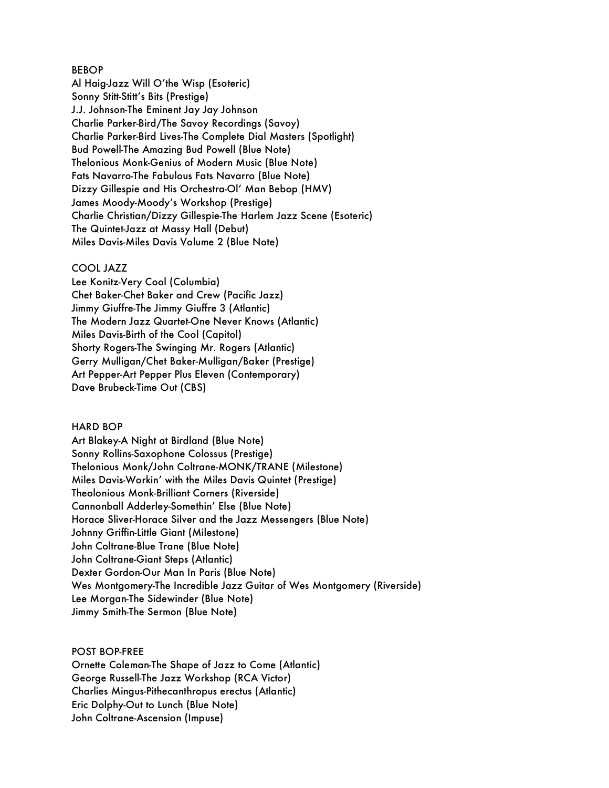### BEBOP

Al Haig-Jazz Will O'the Wisp (Esoteric) Sonny Stitt-Stitt's Bits (Prestige) J.J. Johnson-The Eminent Jay Jay Johnson Charlie Parker-Bird/The Savoy Recordings (Savoy) Charlie Parker-Bird Lives-The Complete Dial Masters (Spotlight) Bud Powell-The Amazing Bud Powell (Blue Note) Thelonious Monk-Genius of Modern Music (Blue Note) Fats Navarro-The Fabulous Fats Navarro (Blue Note) Dizzy Gillespie and His Orchestra-Ol' Man Bebop (HMV) James Moody-Moody's Workshop (Prestige) Charlie Christian/Dizzy Gillespie-The Harlem Jazz Scene (Esoteric) The Quintet-Jazz at Massy Hall (Debut) Miles Davis-Miles Davis Volume 2 (Blue Note)

#### COOL JAZZ

Lee Konitz-Very Cool (Columbia) Chet Baker-Chet Baker and Crew (Pacific Jazz) Jimmy Giuffre-The Jimmy Giuffre 3 (Atlantic) The Modern Jazz Quartet-One Never Knows (Atlantic) Miles Davis-Birth of the Cool (Capitol) Shorty Rogers-The Swinging Mr. Rogers (Atlantic) Gerry Mulligan/Chet Baker-Mulligan/Baker (Prestige) Art Pepper-Art Pepper Plus Eleven (Contemporary) Dave Brubeck-Time Out (CBS)

### HARD BOP

Art Blakey-A Night at Birdland (Blue Note) Sonny Rollins-Saxophone Colossus (Prestige) Thelonious Monk/John Coltrane-MONK/TRANE (Milestone) Miles Davis-Workin' with the Miles Davis Quintet (Prestige) Theolonious Monk-Brilliant Corners (Riverside) Cannonball Adderley-Somethin' Else (Blue Note) Horace Sliver-Horace Silver and the Jazz Messengers (Blue Note) Johnny Griffin-Little Giant (Milestone) John Coltrane-Blue Trane (Blue Note) John Coltrane-Giant Steps (Atlantic) Dexter Gordon-Our Man In Paris (Blue Note) Wes Montgomery-The Incredible Jazz Guitar of Wes Montgomery (Riverside) Lee Morgan-The Sidewinder (Blue Note) Jimmy Smith-The Sermon (Blue Note)

#### POST BOP-FREE

Ornette Coleman-The Shape of Jazz to Come (Atlantic) George Russell-The Jazz Workshop (RCA Victor) Charlies Mingus-Pithecanthropus erectus (Atlantic) Eric Dolphy-Out to Lunch (Blue Note) John Coltrane-Ascension (Impuse)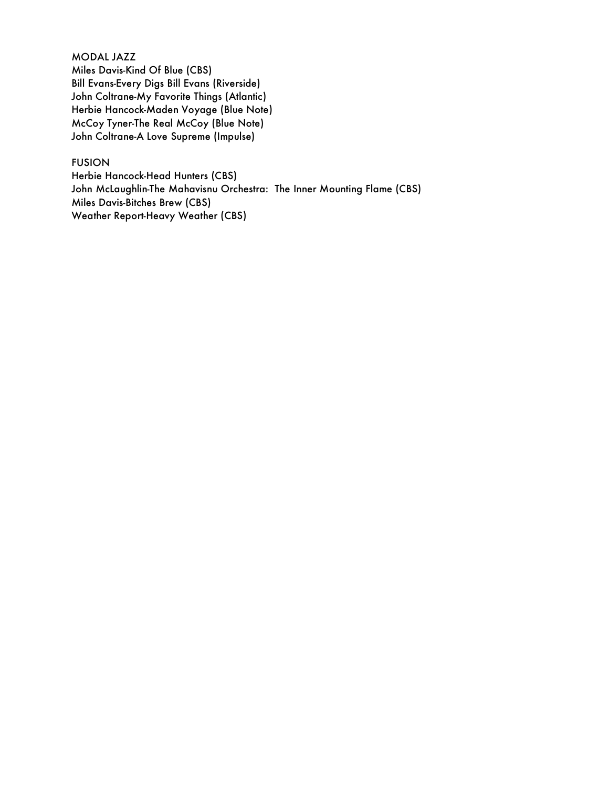## MODAL JAZZ

Miles Davis-Kind Of Blue (CBS) Bill Evans-Every Digs Bill Evans (Riverside) John Coltrane-My Favorite Things (Atlantic) Herbie Hancock-Maden Voyage (Blue Note) McCoy Tyner-The Real McCoy (Blue Note) John Coltrane-A Love Supreme (Impulse)

## FUSION

Herbie Hancock-Head Hunters (CBS) John McLaughlin-The Mahavisnu Orchestra: The Inner Mounting Flame (CBS) Miles Davis-Bitches Brew (CBS) Weather Report-Heavy Weather (CBS)